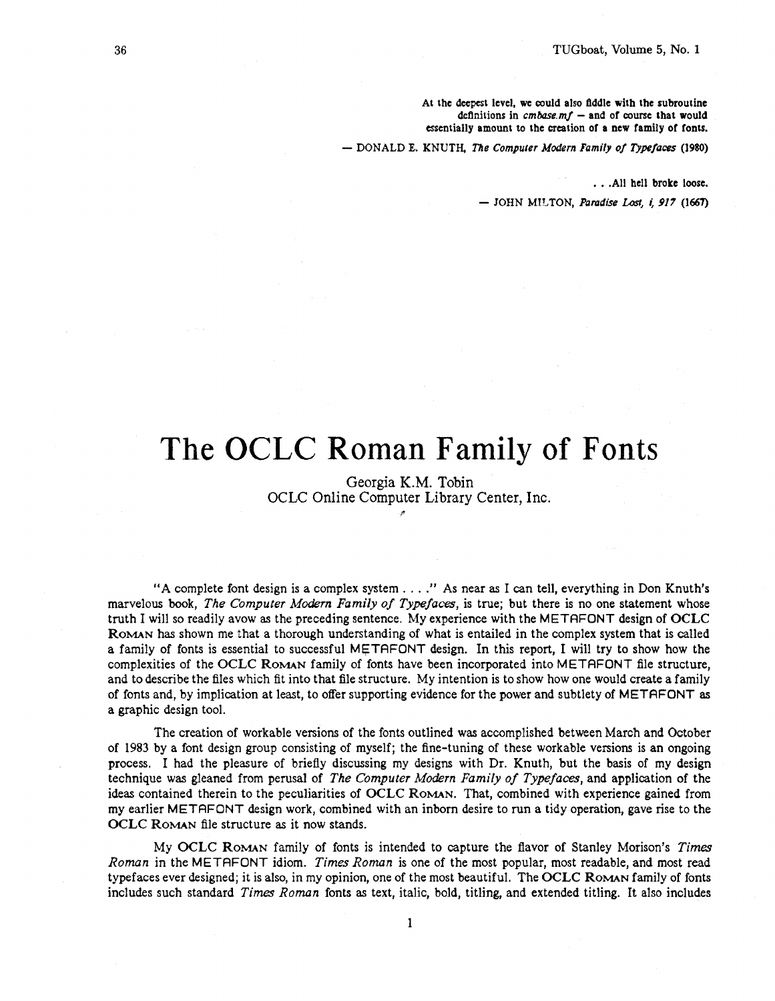**At the deepest level, we could also Bddle with the subroutine definitions in** *cmbase.mf* - **and of course that would essentially amount to the creation of a new family of fonts.** 

- **DONALD E. KNUTH,** *Tne Computer* **Modern** *Family of Typefaces (1980)* 

. . **.All hell broke loose.** 

 $-$  JOHN MILTON, *Paradise Lost, i, 917* (1667)

## The OCLC Roman Family of Fonts

Georgia K.M. Tobin OCLC Online Computer Library Center, Inc. \*

"A complete font design is a complex system . . . ." As near as I can tell, everything in Don Knuth's marvelous book, *The Computer Modem Family of Typefaces,* is true; but there is no one statement whose truth I will so readily avow as the preceding sentence. My experience with the METAFONT design of **OCLC ROMAN** has shown me :hat a thorough understanding of what is entailed in the complex system that is called a family of fonts is essential to successful MFTAFONT design. In this report, I will try to show how the complexities of the **OCLC ROMAN** family of fonts have been incorporated into **M** ETAFONT file structure, and to describe the files which fit into that file structure. My intention is to show how one would create a family of fonts and, by implication at least, to offer supporting evidence for the power and subtlety of METAFONT as a graphic design tool.

The creation of workable versions of the fonts outlined was accomplished between March and October of 1983 by a font design group consisting of myself; the fine-tuning of these workable versions is an ongoing process. I had the pleasure of briefly discussing my designs with Dr. Knuth, but the basis of my design technique was gleaned from perusal of *The Computer Modern Family of Typefaces*, and application of the ideas contained therein to the peculiarities of **OCLC ROMAN.** That, combined with experience gained from my earlier METAFONT design work, combined with an inborn desire to run a tidy operation, gave rise to the **OCLC ROMAN** file structure **as** it now stands.

My **OCLC ROMAN** family of fonts is intended to capture the flavor of Stanley Morison's **Times**  *Roman* in the M ETAFONT idiom. *Times Roman* is one of the most popular, most readable, and most read typefaces ever designed; it is also, in my opinion, one of the most beautiful. The **OCLC ROMAN** family of fonts includes such standard *Times Roman* fonts *as* text, italic, bold, titling, and extended titling. It also includes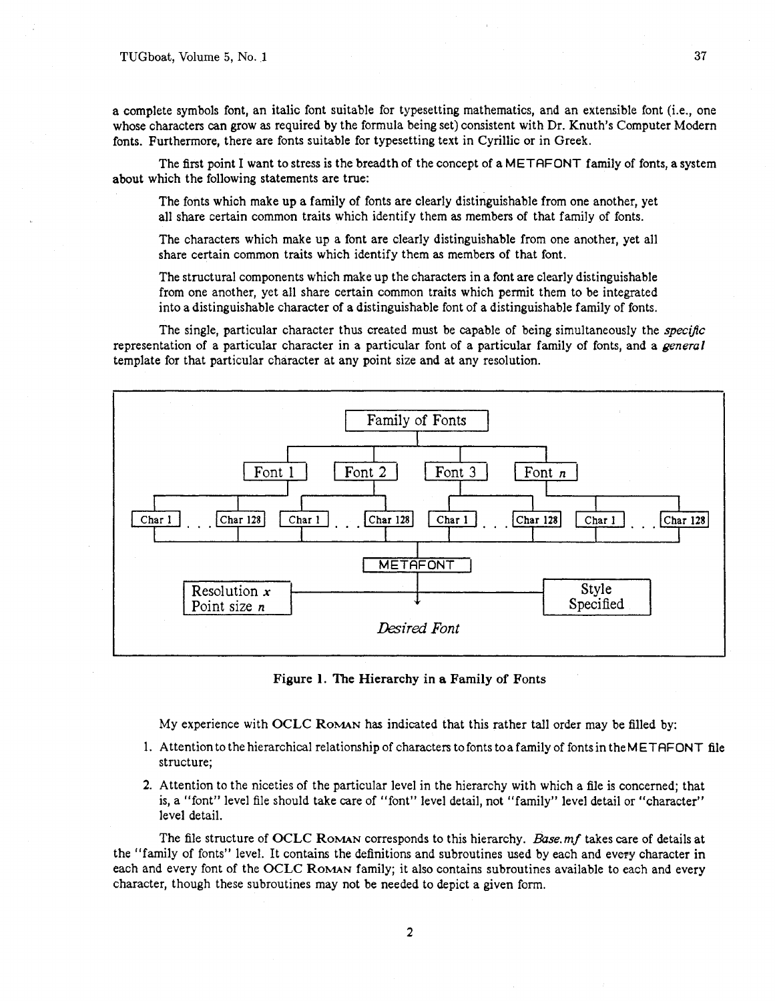a complete symbols font, an italic font suitable for typesetting mathematics, and an extensible font (i.e., one whose characters can grow as required by the formula being set) consistent with Dr. Knuth's Computer Modem fonts. Furthermore, there are fonts suitable for typesetting text in Cyrillic or in Greek.

The first point I want to stress is the breadth of the concept of a METAFONT family of fonts, a system about which the following statements are true:

The fonts which make up a family of fonts are clearly distinguishable from one another, yet all share certain common traits which identify them as members of that family of fonts.

The characters which make up a font are clearly distinguishable from one another, yet all share certain common traits which identify them as members of that font.

The structural components which make up the characters in a font are clearly distinguishable from one another, yet all share certain common traits which permit them to be integrated into a distinguishable character of a distinguishable font of a distinguishable family of fonts.

The single, particular character thus created must be capable of being simultaneously the *specific* representation of a particular character in a particular font of a particular family of fonts, and a *general* template for that particular character at any point size and at any resolution.



Figure 1. The Hierarchy in a Family of Fonts

My experience with OCLC **ROMAN** has indicated that this rather tall order may be filled by:

- 1. Attention to the hierarchical relationship of characters to fonts toa family of fonts in theM ETAFONT file structure;
- 2. Attention to the niceties of the particular level in the hierarchy with which a file is concerned; that is, a "font" level file should take care of "font" level detail, not "family" level detail or "character" level detail.

The file structure of OCLC ROMAN corresponds to this hierarchy. *Base. mf* takes care of details at the "family of fonts" level. It contains the definitions and subroutines used by each and evey character in each and every font of the OCLC **ROMAN** family; it also contains subroutines available to each and every character, though these subroutines may not be needed to depict a given form.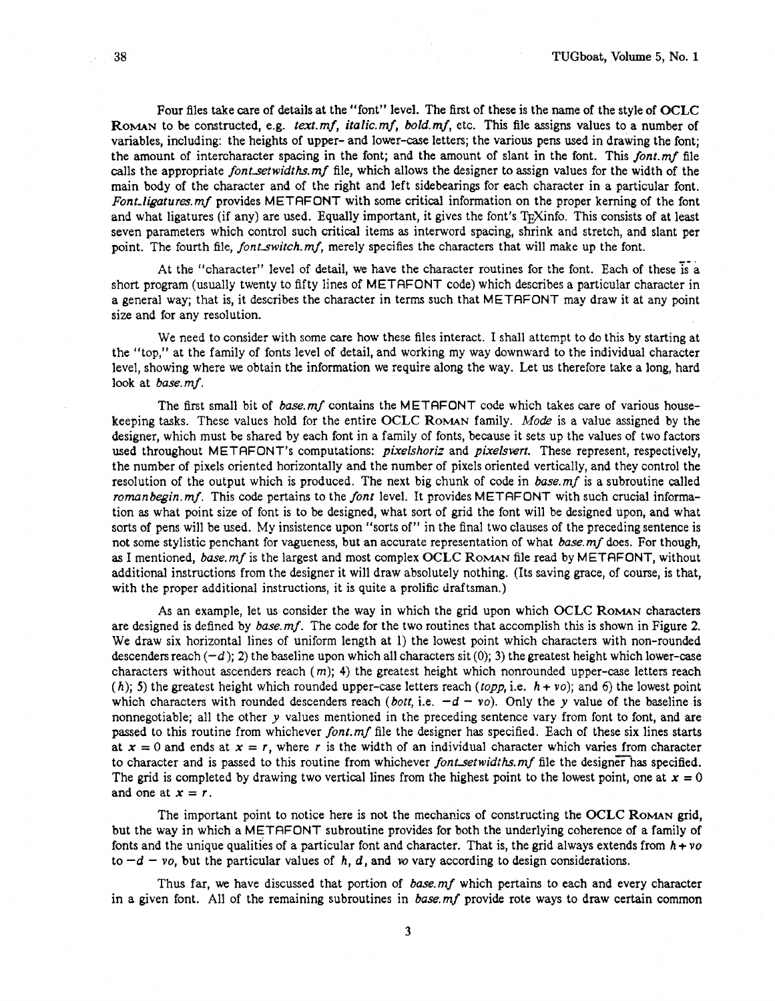Four files take care of details at the "font" level. The first of these is the name of the style of **OCLC ROMAN** to be constructed, e.g. text.mf, italic.mf, bold.mf, etc. This file assigns values to a number of variables, including: the heights of upper- and lower-case letters; the various pens used in drawing the font; the amount of intercharacter spacing in the font; and the amount of slant in the font. This font.mf file calls the appropriate font setwidths. mf file, which allows the designer to assign values for the width of the main body of the character and of the right and left sidebearings for each character in a particular font. Font-ligatures. mf provides METAFONT with some critical information on the proper kerning of the font and what ligatures (if any) are used. Equally important, it gives the font's T<sub>F</sub>Xinfo. This consists of at least seven parameters which control such critical items as interword spacing, shrink and stretch, and slant per point. The fourth file, font switch.mf, merely specifies the characters that will make up the font.

At the "character" level of detail, we have the character routines for the font. Each of these is a short program (usually twenty to fifty lines of METAFONT code) which describes a particular character in a general way; that is, it describes the character in terms such that METAFONT may draw it at any point size and for any resolution.

We need to consider with some care how these files interact. I shall attempt to do this by starting at the "top," at the family of fonts level of detail, and working my way downward to the individual character level, showing where we obtain the information we require along the way. Let us therefore take a long, hard look at base.mf.

The first small bit of base. mf contains the METAFONT code which takes care of various housekeeping tasks. These values hold for the entire **OCLC ROMAN** family. Mode is a value assigned by the designer, which must be shared by each font in a family of fonts, because it sets up the values of two factors used throughout METAFONT's computations: *pixelshoriz* and *pixelsvert*. These represent, respectively. the number of pixels oriented horizontally and the number of pixels oriented vertically, and they control the resolution of the output which is produced. The next big chunk of code in base. mf is a subroutine called roman begin. mf. This code pertains to the font level. It provides METAFONT with such crucial information as what point size of font is to be designed, what sort of grid the font will be designed upon, and what sorts of pens will be used. My insistence upon "sorts of" in the final two clauses of the preceding sentence is not some stylistic penchant for vagueness, but an accurate representation of what base. mf does. For though, as I mentioned, base.mf is the largest and most complex **OCLC ROMAN** file read by METAFONT, without additional instructions from the designer it will draw absolutely nothing. (Its saving grace, of course, is that, with the proper additional instructions, it is quite a prolific draftsman.)

As an example, let us consider the way in which the grid upon which **OCLC ROMAN** characters are designed is defined by base.mf. The code for the two routines that accomplish this is shown in Figure 2. We draw six horizontal lines of uniform length at 1) the lowest point which characters with non-rounded descenders reach  $(-d)$ ; 2) the baseline upon which all characters sit (0); 3) the greatest height which lower-case characters without ascenders reach  $(m)$ ; 4) the greatest height which nonrounded upper-case letters reach (h); 5) the greatest height which rounded upper-case letters reach (topp, i.e.  $h + v_0$ ); and 6) the lowest point which characters with rounded descenders reach (bott, i.e.  $-d - v$ ). Only the y value of the baseline is nonnegotiable; all the other y values mentioned in the preceding sentence vary from font to font, and are passed to this routine from whichever font.mf file the designer has specified. Each of these six lines starts at  $x = 0$  and ends at  $x = r$ , where r is the width of an individual character which varies from character to character and is passed to this routine from whichever font setwidths.mf file the designer has specified. The grid is completed by drawing two vertical lines from the highest point to the lowest point, one at  $x = 0$ and one at  $x = r$ .

The important point to notice here is not the mechanics of constructing the **OCLC ROMAN** grid, but the way in which a METAFONT subroutine provides for both the underlying coherence of a family of fonts and the unique qualities of a particular font and character. That is, the grid always extends from  $h + v\text{o}$ to  $-d - v_0$ , but the particular values of h, d, and *w* vary according to design considerations.

Thus far, we have discussed that portion of base mf which pertains to each and every character in a given font. All of the remaining subroutines in base.mf provide rote ways to draw certain common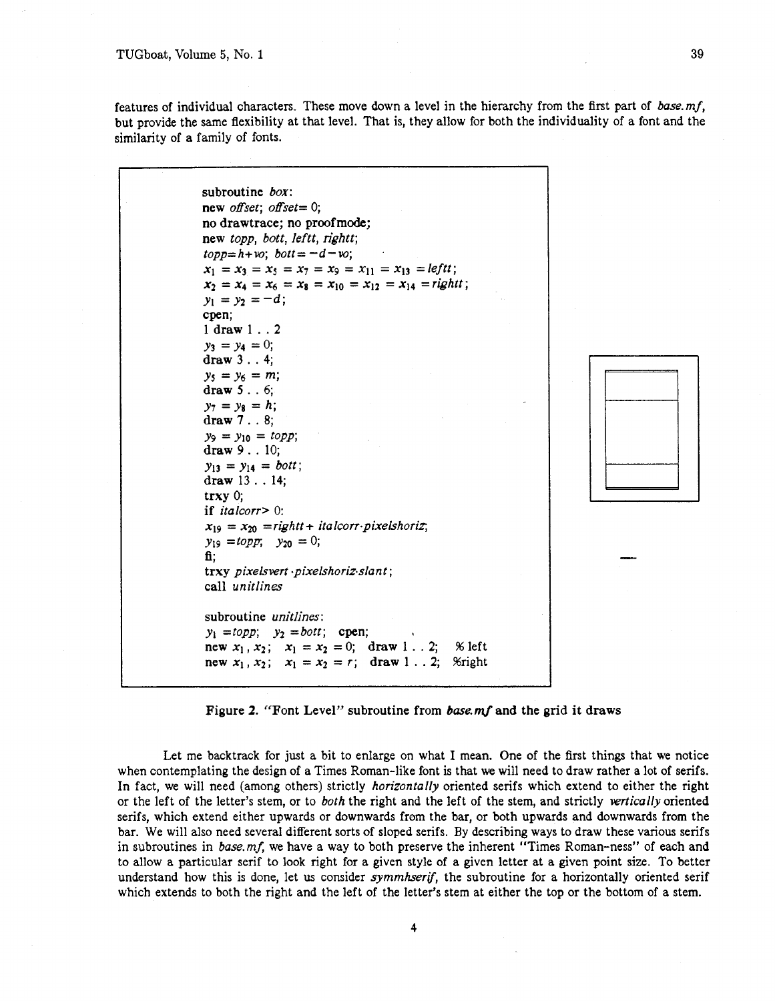features of individual characters. These move down a level in the hierarchy from the first part of base. mf, but provide the same flexibility at that level. That is, they allow for both the individuality of a font and the similarity of a family of fonts.

subroutine *box*: new offset; offset=  $0$ ; no drawtrace; no proofmode; new topp, bott, leftt, rightt;  $topp=h+vo; bott = -d-vo;$  $x_1 = x_3 = x_5 = x_7 = x_9 = x_{11} = x_{13} = left$ ;  $x_2 = x_4 = x_6 = x_8 = x_{10} = x_{12} = x_{14} =$ rightt;  $y_1 = y_2 = -d;$ cpen; 1 draw 1 . .2  $y_3 = y_4 = 0;$ draw 3 . . 4;  $y_5 = y_6 = m$ ; draw 5 . . *6;*   $y_7 = y_8 = h;$ draw 7 . . 8;  $y_9 = y_{10} = topp$ ; draw 9 . . 10;  $y_{13} = y_{14} = bott;$ draw 13 . . 14; trxy 0; if italcorr> 0:  $x_{19} = x_{20} = right + italcorr\cdot pixelshort$ ;  $y_{19} = \text{topp}$ ;  $y_{20} = 0$ ; **fi;**  trxy pixelsvert .pixelshoriz.slant; call unitlines subroutine *unitlines*:  $y_1 = topp$ ;  $y_2 = bott$ ; cpen; new  $x_1, x_2$ ;  $x_1 = x_2 = 0$ ; draw 1. . 2; % left new  $x_1, x_2$ ;  $x_1 = x_2 = r$ ; draw 1... 2; %right



Figure 2. "Font Level" subroutine from *base.mf* and the grid it draws

Let me backtrack for just a bit to enlarge on what I mean. One of the first things that we notice when contemplating the design of a Times Roman-like font is that we will need to draw rather a lot of serifs. In fact, we will need (among others) strictly *horizontally* oriented serifs which extend to either the right or the left of the letter's stem, or to both the right and the left of the stem, and strictly vertically oriented serifs, which extend either upwards or downwards from the bar, or both upwards and downwards from the bar. We will also need several different sorts of sloped serifs. By describing ways to draw these various serifs in subroutines in base. **mf,** we have a way to both preserve the inherent "Times Roman-ness" of each and to allow a particular serif to look right for a given style of a given letter at a given point size. To better understand how this is done, let us consider *symmhserif*, the subroutine for a horizontally oriented serif which extends to both the right and the left of the letter's stem at either the top or the bottom of a stem.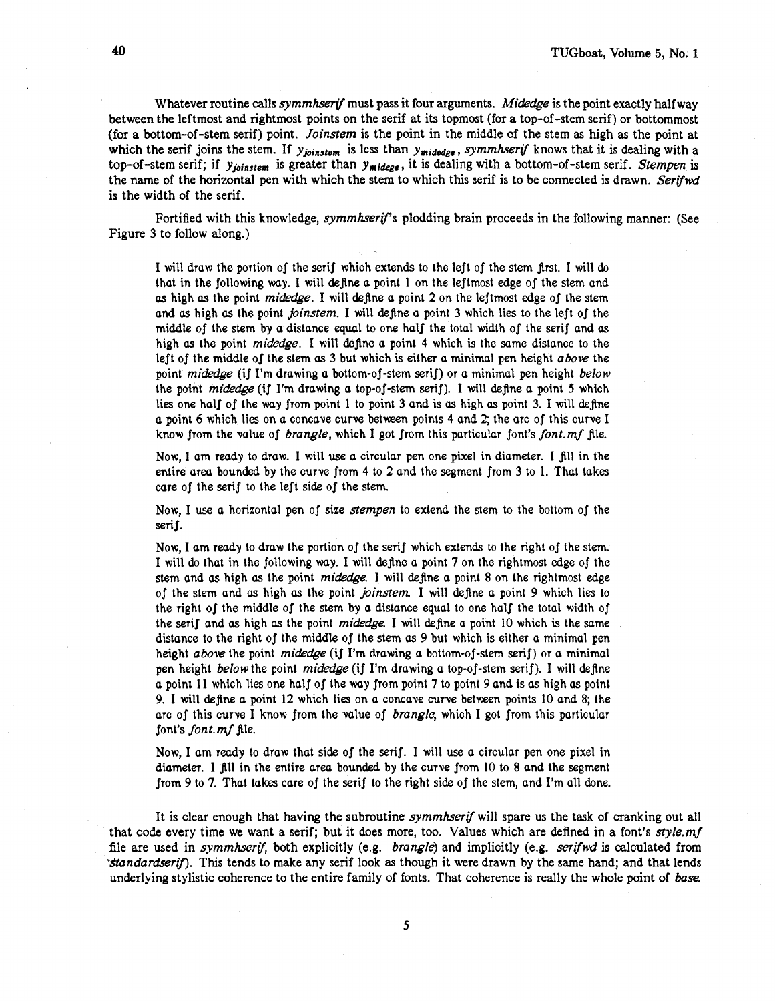Whatever routine calls *symmhserif* must pass it four arguments. *Midedge* is the point exactly half way between the leftmost and rightmost points on the serif at its topmost (for a top-of-stem serif) or bottommost (for a bottom-of-stem serif) point. *Joinstem* is the point in the middle of the stem as high **as** the point at which the serif joins the stem. If y<sub>joinstem</sub> is less than y<sub>midedge</sub>, *symmhserif* knows that it is dealing with a top-of-stem serif; if  $y_{joinstein}$  is greater than  $y_{midege}$ , it is dealing with a bottom-of-stem serif. *Stempen* is the name of the horizontal pen with which the stem to which this serif is to be connected is drawn. *Serifwd*  is the width of the serif.

Fortified with this knowledge, *symmhserif'*s plodding brain proceeds in the following manner: (See Figure 3 to follow along.)

I will draw the portion of the serif which extends to the left of the stem first. I will do that in the following way. I will define a point 1 on the leftmost edge of the stem and **as** high *as* the point *midedge.* I will define a point 2 on the leftmost edge of the stem and **as** high *as* the point *joinstem.* I will define a point 3 which lies to the left of the middle of the stem by a distance equal to one half the total width of the serif and as high *as* the point *midedge.* I will define a point 4 which is the same distance to the left of the middle of the stem **as** 3 but which is eithet a minimal pen height *above* the point *midedge* (if I'm drawing a bottom-of-stem serif) or a minimal pen height *below*  the point *midedge* (if I'm drawing a top-of-stem serif). I will define a point 5 which lies one half of the way from point 1 to point 3 and is **as** high **as** point 3. I will define a point 6 which lies on a concave curve between points 4 and 2; the arc of this curve I know from the value of *brangle,* which I got from this particular font's *font. mf* jle.

Now, I am reudy to draw. I will **use** a circular pen one pixel in diameter. I fill in the entire area bounded by the curve from 4 to 2 and the segment from 3 to 1. That takes care of the serif to the left side of the stem.

Now, I use a horizontal pen of size *stempen* to extend the stem to the bottom of the serif.

Now, I am ready to draw the portion of the serif which extends to the right of the stem. I will do that in the following way. I will define a point 7 on the rightmost edge of the stem and **as** high *as* the point *midedge.* I will define a point 8 on the rightmost edge of the stem and **as** high *as* the point *joinstern* I will define a point 9 which lies to the right of the middle of the stem by a distance equal to one half the total width of the serif and **as** high *as* the point *midedge* I will define a point 10 which is the same distance to the right of the middle of the stem **as** 9 but which is either a minimal pen height above the point *midedge* (if I'm drawing a bottom-of-stem serif) or a minimal pen height *below* the point *midedge* (if I'm drawing a top-of-stem serif). I will define a point 11 which lies one half of the way from point 7 to point 9 and is **as** high **as** point 9. 1 will define a point 12 which lies on a concave curve between points 10 and 8; the arc of this curve I know from the value of *brangle,* which I got from this particular font's *font.mf* file.

Now, I am reudy to draw that side of the serif. I will use a circular pen one pixel in diameter. I fill in the entire areu bounded by the curve from 10 to 8 and the segment from 9 to 7. That takes care of the serif to the right side of the stem, and I'm all done.

It is clear enough that having the subroutine *symmhertf* will spare us the task of cranking out all that code every time we want a serif; but it does more, too. Values which are defined in a font's *style.mf*  file are used in *symmhserif,* both explicitly (e.g. *brangle)* and implicitly (e.g. *serifwd* is calculated from *'Stondarciserfi.* This tends to make any serif look as though it were drawn by the same hand; and that lends underlying stylistic coherence to the entire family of fonts. That coherence is really the whole point of **base.**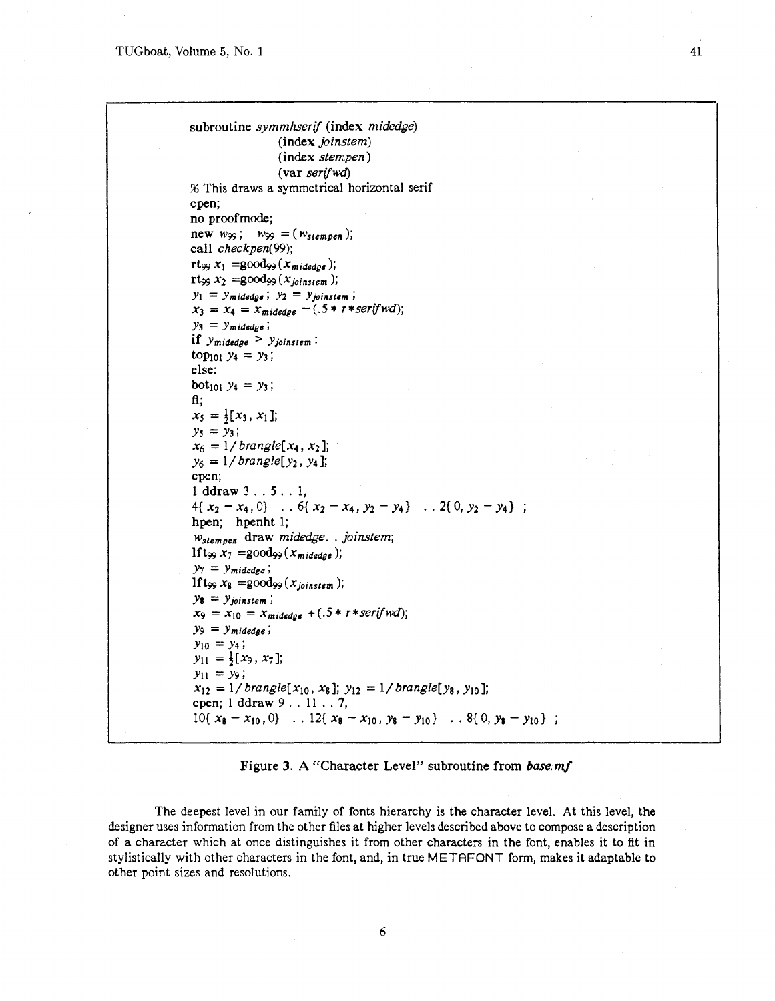subroutine symmhserif (index midedge) (index joinstem)  $(index stem. pen)$  $(var)$  serif wd % This draws a symmetrical horizontal serif cpen; no proofmode; new  $w_{99}$ ;  $w_{99} = (w_{stempen})$ ; call checkpen(99); rt<sub>99</sub>  $x_1$  =good<sub>99</sub> ( $x_{midedeg}$ );  $\text{rt}_{99} x_2 = \text{good}_{99}(x_{\text{ionstem}});$  $y_1 = y_{midedge}$ ;  $y_2 = y_{joinstein}$ ;  $x_3 = x_4 = x_{midedge} - (.5 * r * serifwd);$  $y_3 = y_{midedee}$ ; if  $y_{midedge} > y_{joinstein}$ : top<sub>101</sub>  $y_4 = y_3$ ; else: bot<sub>101</sub>  $y_4 = y_3$ ; fi:  $x_5 = \frac{1}{2}[x_3, x_1]$ ;  $y_5 = y_3;$  $x_6 = 1/b$  rangle[ $x_4, x_2$ ];  $y_6 = 1/b$  rangle[y<sub>2</sub>, y<sub>4</sub>]; cpen;  $1$  ddraw  $3...5...1$ .  $4\{x_2-x_4,0\}$  .  $6\{x_2-x_4, y_2-y_4\}$  .  $2\{0, y_2-y_4\}$ ; hpen; hpenht 1; Wstempen draw midedge... joinstem; If  $t_{\infty}$   $x_7$  =good<sub>29</sub> ( $x_{midedee}$ );  $y_7 = y_{midedge}$ ; If  $t_{99} x_8 = \text{good}_{99}(x_{\text{in}};$  $y_8 = y_{joinstein}$ ;  $x_9 = x_{10} = x_{midedge} + (.5 * r * serifwd);$  $y_9 = y_{midedge}$ ;  $y_{10} = y_4;$  $y_{11} = \frac{1}{2}[x_9, x_7];$  $y_{11} = y_9;$  $x_{12} = 1/b$  rangle[ $x_{10}$ ,  $x_8$ ];  $y_{12} = 1/b$  rangle[ $y_8$ ,  $y_{10}$ ]; cpen;  $1$  ddraw  $9$ ...  $11$ ... 7,  $10\{x_8-x_{10},0\}$  .  $12\{x_8-x_{10}, y_8-y_{10}\}$  .  $8\{0, y_8-y_{10}\}$ ;

## Figure **3.** A "Character Level" subroutine **from** *base.mf*

The deepest level in our family of fonts hierarchy is the character level. At this level, the designer uses information from the other files at higher levels described above to compose a description of a character which at once distinguishes it from other characters in the font, enables it to fit in stylistically with other characters in the font, and, in true METAFONT form, makes it adaptable to other point sizes and resolutions.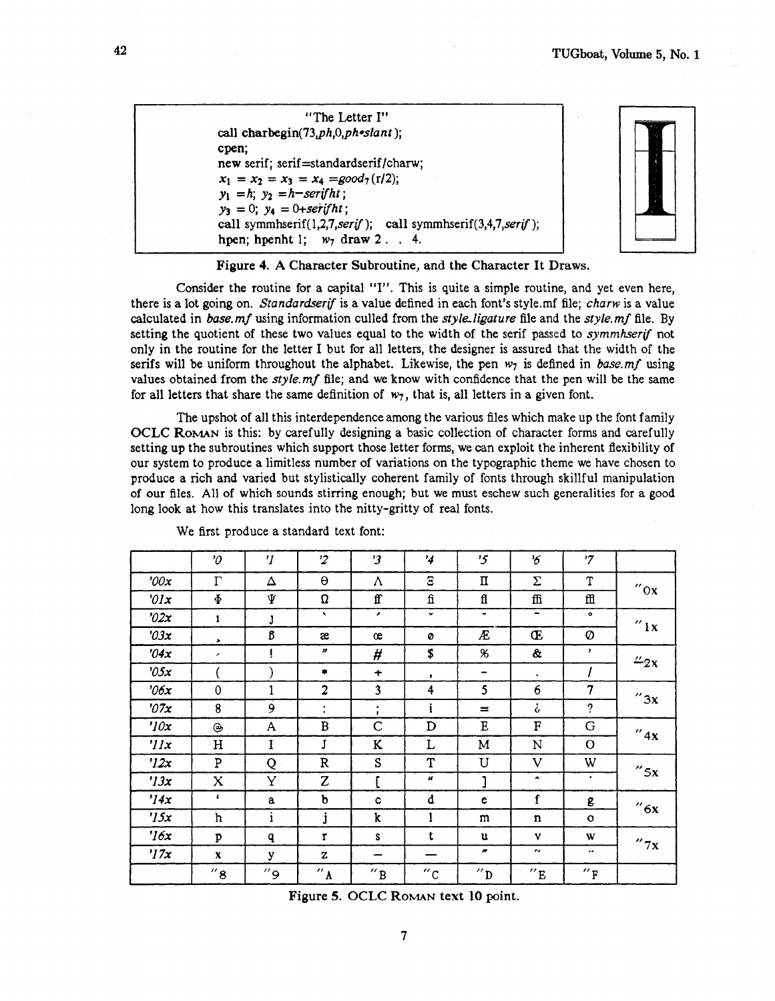"The Letter I" call charbegin(73,ph,0,ph\*slant); cpen; new serif; serif=standardserif/charw;  $x_1 = x_2 = x_3 = x_4 = \text{good}_7(\text{r}/2);$  $y_1 = h$ ;  $y_2 = h$ -serifht;  $y_3 = 0$ ;  $y_4 = 0 +$ serifht; call symmhserif $(1,2,7,$ serif); call symmhserif $(3,4,7,$ serif); hpen; hpenht 1;  $w_7$  draw 2... 4.



Figure 4. A Character Subroutine, and the Character It Draws.

Consider the routine for a capital "I". This is quite a simple routine, and yet even here, there is a lot going on. Standardserif is a value defined in each font's style.mf file: charw is a value calculated in base.mf using information culled from the style-ligature file and the style.mf file. By setting the quotient of these two values equal to the width of the serif passed to *symmhserif* not only in the routine for the letter I but for all letters, the designer is assured that the width of the serifs will be uniform throughout the alphabet. Likewise, the pen  $w_7$  is defined in base.mf using values obtained from the  $style$  mf file; and we know with confidence that the pen will be the same for all letters that share the same definition of  $w_7$ , that is, all letters in a given font.

The upshot of all this interdependence among the various files which make up the font family OCLC ROMAN is this: by carefully designing a basic collection of character forms and carefully setting up the subroutines which support those letter forms, we can exploit the inherent flexibility of our system to produce a limitless number of variations on the typographic theme we have chosen to produce a rich and varied but stylistically coherent family of fonts through skillful manipulation of our files. All of which sounds stirring enough; but we must eschew such generalities for a good long look at how this translates into the nitty-gritty of real fonts.

|            | $\boldsymbol{\vartheta}$  | $\eta$      | $\overline{2}$             | '3                        | $\frac{1}{4}$       | $\mathfrak{c}$ | 6'                        | '7               |                      |
|------------|---------------------------|-------------|----------------------------|---------------------------|---------------------|----------------|---------------------------|------------------|----------------------|
| '00x       | $\Gamma$                  | Δ           | $\Theta$                   | Λ                         | $\Xi$               | п              | Σ                         | T                | $^{\prime\prime}$ Ox |
| 0/x        | $\Phi$                    | Ψ           | U                          | ff                        | fi                  | fl             | ffi                       | $f\!f\!f$        |                      |
| "02x"      | $\mathbf{1}$              | J           | $\hat{\mathbf{x}}$         | $\lambda$                 | $\checkmark$        | ٠              | ۰                         | $\bullet$        | $^{\prime\prime}$ ix |
| '03x       | $\bullet$                 | ß           | æ                          | œ                         | Ø                   | Æ              | Œ                         | Ø                |                      |
| 04x        | $\overline{\phantom{a}}$  | Į           | $\boldsymbol{\mathcal{D}}$ | #                         | \$                  | $\chi$         | &                         | $\mathbf{r}$     | $\frac{\pi}{2}x$     |
| 0.5x       |                           |             | ۰                          | $\ddot{}$                 | ,                   | -              | $\bullet$                 | I                |                      |
| 206x       | 0                         | 1           | 2                          | 3                         | 4                   | 5              | 6                         | $\overline{7}$   | ''3x                 |
| 27x        | 8                         | 9           | ٠<br>$\bullet$             | $\bullet$<br>$\mathbf{r}$ |                     | $=$            | i                         | $\cdot$          |                      |
| '10x       | ۳                         | A           | $\, {\bf B}$               | $\mathsf{C}$              | D                   | $\mathbf E$    | $\boldsymbol{\mathrm{F}}$ | G                | $^{\prime\prime}$ 4x |
| $'$ // $x$ | H                         | $\mathbf I$ | J                          | K                         | L                   | M              | N                         | $\Omega$         |                      |
| '12x       | P                         | Q           | $\, {\bf R}$               | S                         | T                   | U              | V                         | W                | $''$ 5x              |
| '13x       | $\boldsymbol{\mathsf{x}}$ | Y           | Z                          | г                         | $\alpha$            | 1              | $\blacktriangle$          | $\bullet$        |                      |
| '14x       |                           | a           | b                          | c.                        | d                   | e              | $\mathbf f$               | g                | ''6x                 |
| '15x       | ħ                         | i           | j                          | k                         | 1                   | m              | n                         | $\circ$          |                      |
| '16x       | p                         | q           | $\mathbf{r}$               | s.                        | t                   | u              | V                         | W                | "7x                  |
| '17x       | $\mathbf{x}$              | У           | z                          | -                         |                     | n              | $\sim$                    | $\bullet\bullet$ |                      |
|            | $''\,8$                   | و″          | $\overline{K}$             | $^{\prime\prime}$ B       | $^{\prime\prime}$ C | $\overline{p}$ | $^{\prime\prime}$ E       | "F               |                      |

We first produce a standard text font:

Figure 5. OCLC **ROMAN** text **10** point.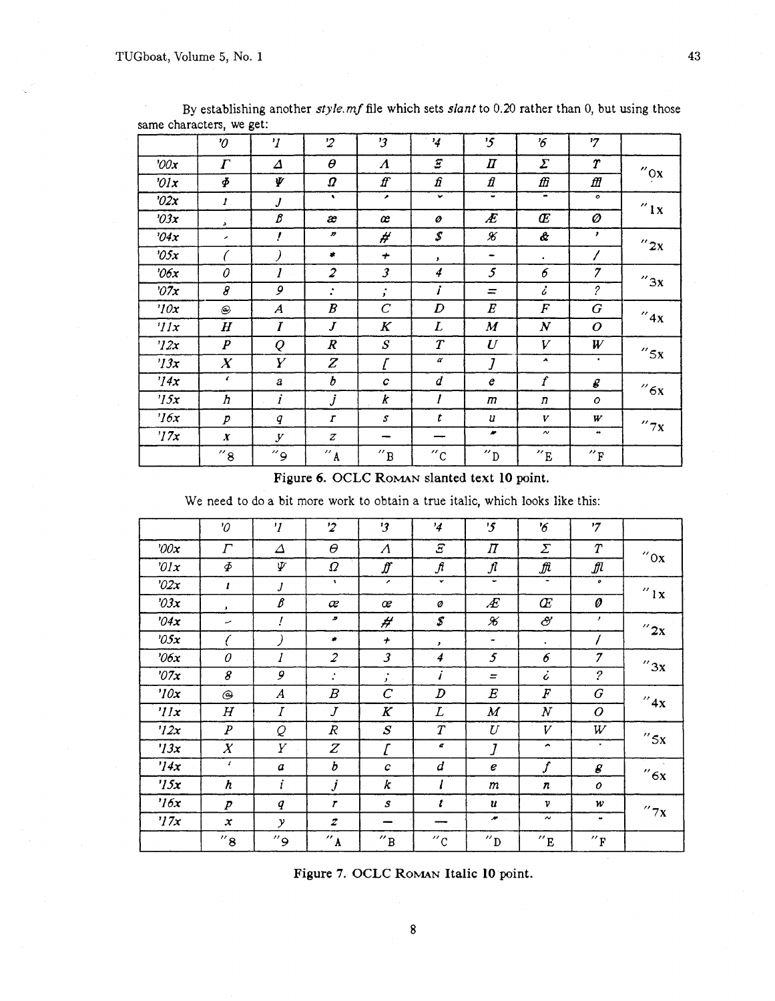|                 | $\boldsymbol{\vartheta}$ | $\mathbf{v}$     | $\overline{2}$      | $\mathbf{3}$           | $\frac{1}{4}$              | '5                         | 6                        | '7                          |                      |
|-----------------|--------------------------|------------------|---------------------|------------------------|----------------------------|----------------------------|--------------------------|-----------------------------|----------------------|
| ' $00x$         | $\Gamma$                 | Δ                | $\theta$            | $\boldsymbol{\Lambda}$ | $\boldsymbol{\mathcal{Z}}$ | $\boldsymbol{\varPi}$      | $\boldsymbol{\Sigma}$    | $\boldsymbol{r}$            | $^{\prime\prime}$ Ox |
| $\partial x$    | $\boldsymbol{\varPhi}$   | Ψ                | Ω                   | ff                     | fi                         | $\boldsymbol{\mathit{fl}}$ | ffi                      | ffl                         |                      |
| '02x            | $\boldsymbol{I}$         | J                | ٠                   | ٠                      | $\checkmark$               | $\tilde{\phantom{a}}$      | Ξ                        | $\bullet$                   | $^{\prime\prime}$ 1x |
| '03x            | $\blacktriangleright$    | ß                | æ                   | œ                      | ø                          | Æ                          | Œ                        | Ø                           |                      |
| '04x            | $\epsilon$               | ļ                | $\boldsymbol{D}$    | #                      | $\mathcal{S}$              | $\pmb{\mathcal{X}}$        | Ĝ.                       | $\mathbf{r}$                | $^{\prime\prime}$ 2x |
| 0.5x            | C                        |                  | $\pmb{\ast}$        | $\div$                 | $\mathbf{r}$               | $\overline{\phantom{a}}$   | $\bullet$                | 1                           |                      |
| 206x            | 0                        | 1<br>$\sim$      | $\overline{2}$      | $\mathfrak{Z}$         | 4                          | 5                          | 6                        | $\overline{\mathcal{I}}$    | $^{\prime\prime}$ 3x |
| 27x             | 8                        | 9                | $\ddot{\cdot}$      | $\ddot{i}$             | İ                          | $=$                        | i.                       | $\mathcal{P}_{\mathcal{C}}$ |                      |
| $\eta$ ox       | $^\copyright$            | $\boldsymbol{A}$ | $\pmb{B}$           | $\boldsymbol{C}$       | $\boldsymbol{D}$           | $\pmb{E}$                  | $\boldsymbol{F}$         | G                           | $^{\prime\prime}$ 4x |
| $^{\prime}$ //x | $\pmb{H}$                | Ι                | $\boldsymbol{J}$    | $\boldsymbol{K}$       | L                          | $\boldsymbol{M}$           | $\boldsymbol{N}$         | 0                           |                      |
| '12x            | $\boldsymbol{P}$         | Q                | $\pmb{R}$           | $\mathcal{S}$          | $\boldsymbol{T}$           | $\boldsymbol{U}$           | V                        | W                           | $''$ 5x              |
| '13x            | $\boldsymbol{X}$         | Y                | Z                   | ſ                      | a                          | $\overline{J}$             | $\blacktriangle$         | ٠                           |                      |
| '14x            | $\epsilon$               | a                | $\boldsymbol{b}$    | C                      | ₫                          | e                          | f                        | g                           |                      |
| '15x            | h                        | $\dot{i}$        | $\boldsymbol{j}$    | k                      | 1                          | m                          | $\boldsymbol{n}$         | 0                           | ''6x                 |
| $\frac{7}{6}$   | $\boldsymbol{p}$         | q                | $\boldsymbol{r}$    | $\boldsymbol{S}$       | t                          | u                          | V                        | W                           |                      |
| 77x             | $\boldsymbol{x}$         | У                | $\boldsymbol{z}$    | --                     |                            | n                          | $\sim$                   | $\bullet\bullet$            | $^{\prime\prime}$ 7x |
|                 | $''\mathbf{8}$           | ″9               | $^{\prime\prime}$ A | $^{\prime\prime}$ B    | $^{\prime\prime}$ C        | $^{\prime\prime}$ D        | $^{\prime\prime}{\rm E}$ | $^{\prime\prime}$ F         |                      |

By establishing another *style. mf* file which sets *slant* to 0.20 rather than 0, but using those same characters, we get:

Figure 6. OCLC ROMAN slanted text **10** point.

We need to do a bit more work to obtain a true italic, which looks like this:

|                      | $\mathcal{O}$       | $\overline{'}$      | $\dot{z}$              | $\mathbf{3}$                | $^{\prime}$         | '5                       | $\boldsymbol{\delta}'$ | '7                  |                       |
|----------------------|---------------------|---------------------|------------------------|-----------------------------|---------------------|--------------------------|------------------------|---------------------|-----------------------|
| 200x                 | $\varGamma$         | Δ                   | $\theta$               | Λ                           | $\varXi$            | Π                        | $\sum$                 | $\it{T}$            | $^{\prime\prime}$ Ox  |
| $\partial x$         | $\varPhi$           | Ψ                   | Ω                      | $f\hspace{-0.1cm}f$         | fi                  | $\int$                   | $\mathcal{I}$          | Л                   |                       |
| '02x                 | ı                   | J                   | $\cdot$                | ,                           | $\checkmark$        | ٠                        | ÷                      | $\bullet$           | $^{\prime\prime}$ 1 x |
| $\partial 3x$        | $\bullet$           | ₿                   | æ                      | œ                           | ø                   | Æ                        | Œ                      | 0                   |                       |
| 04x                  | ۔                   | Ţ                   | $\pmb{\pi}$            | #                           | \$                  | $\pmb{\mathscr{K}}$      | $\partial\!\!\!\!{}'$  | $\mathbf{r}$        | $^{\prime\prime}$ 2x  |
| $\partial$ 5x        |                     |                     | $\bullet$              | $\boldsymbol{+}$            | $\cdot$             | $\blacksquare$           | $\bullet$              | T                   |                       |
| 206x                 | 0                   | 1                   | 2                      | 3                           | 4                   | 5                        | 6                      | 7                   | ''3x                  |
| 07x                  | 8                   | 9                   | $\bullet$<br>$\bullet$ | $\bullet$<br>$\mathbf{r}$   | $\boldsymbol{i}$    | $=$                      | i                      | ?                   |                       |
| '10x                 | ⊝                   | A                   | $\boldsymbol{B}$       | $\mathcal C$                | D                   | $\pmb{E}$                | F                      | G                   | $^{\prime\prime}$ 4x  |
| 'IIx                 | $\,H$               | $\boldsymbol{I}$    | $\overline{J}$         | K                           | L                   | $\boldsymbol{M}$         | $\boldsymbol{N}$       | $\boldsymbol{o}$    |                       |
| '12x                 | P                   | Q                   | $\boldsymbol{R}$       | $\boldsymbol{S}$            | $\boldsymbol{T}$    | U                        | V                      | W                   | $''$ 5x               |
| '13x                 | $\boldsymbol{X}$    | Υ                   | $\boldsymbol{Z}$       | $\mathcal{L}_{\mathcal{L}}$ | $\sigma$            | J                        | $\blacktriangle$       | $\bullet$ .         |                       |
| '14x                 | $\epsilon$          | a                   | b                      | c                           | d                   | е                        | $\boldsymbol{f}$       | g                   | ''6x                  |
| 15x                  | h                   | i                   | $\dot{J}$              | k                           | l                   | $\boldsymbol{m}$         | $\boldsymbol{n}$       | 0                   |                       |
| $\eta$ <sub>6x</sub> | P                   | $\boldsymbol{q}$    | $\mathbf{r}$           | S                           | t                   | $\boldsymbol{u}$         | ν                      | w                   | $^{\prime\prime}$ 7x  |
| '17x                 | x                   | $\mathbf{y}$        | $\boldsymbol{z}$       |                             |                     | $\overline{\phantom{a}}$ | $\tilde{\phantom{a}}$  | $\bullet$           |                       |
|                      | $~^{\prime\prime}8$ | $^{\prime\prime}$ 9 | $n_{\rm A}$            | $^{\prime\prime}$ B         | $^{\prime\prime}$ c | $^{\prime\prime}$ D      | $^{\prime\prime}$ E    | $^{\prime\prime}$ F |                       |

Figure 7. OCLC ROMAN Italic **10** point.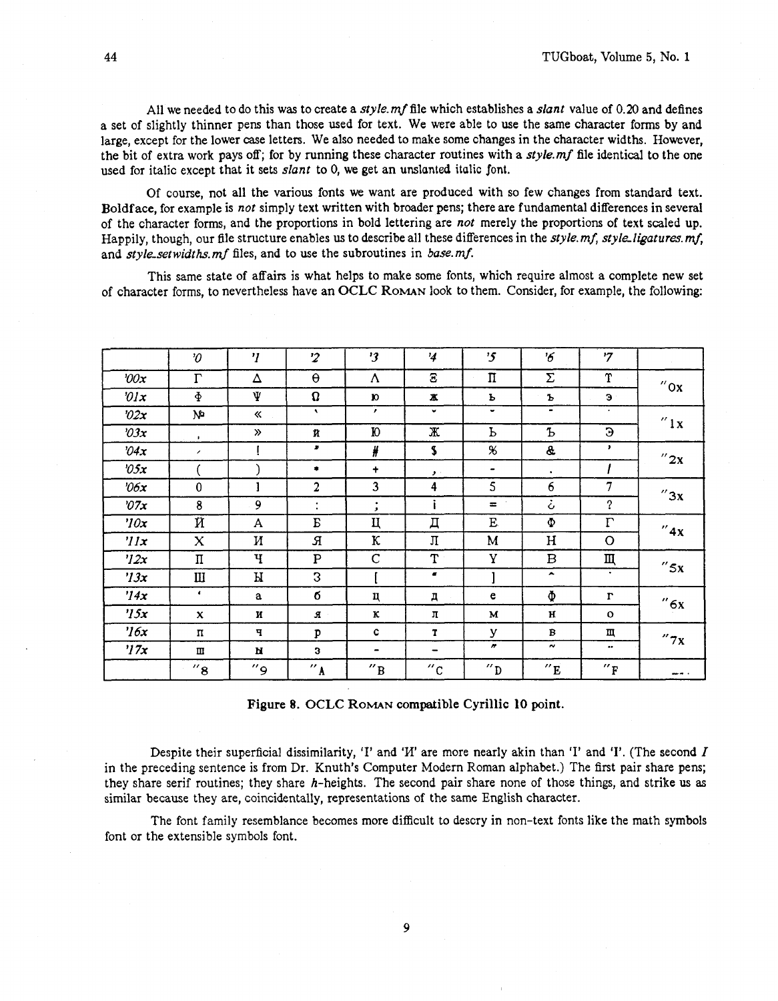All we needed to do this was to create a style.  $mf$  file which establishes a slant value of 0.20 and defines a set of slightly thinner pens than those used for text. We were able to use the same character forms by and large, except for the lower case letters. We also needed to make some changes in the character widths. However, the bit of extra work pays off; for by running these character routines with a *style.mf* file identical to the one used for italic except that it sets slant to 0, **we** get an **unslanted italic font.** 

Of course, not all the various fonts we want are produced with so few changes from standard text. Boldface, for example is not simply text written with broader pens; there are fundamental differences in several of the character forms, and the proportions in bold lettering are not merely the proportions of text scaled up. Happily, though, our file structure enables us to describe all these differences in the *style.mf, style\_ligatures.mf*, and style-setwidths. mf files, and to use the subroutines in base. mf.

This same state of affairs is what helps to make some fonts, which require almost a complete new set of character forms, to nevertheless have an **OCLC ROMAN** look to them. Consider, for example, the following:

|               | $\mathcal{O}$          | $\boldsymbol{\eta}$ | $\overline{2}$      | $\mathbf{3}$         | $\frac{1}{4}$            | $\mathbf{5}$   | '6                    | $7^{\prime}$        |                       |
|---------------|------------------------|---------------------|---------------------|----------------------|--------------------------|----------------|-----------------------|---------------------|-----------------------|
| 200x          | $\Gamma$               | Δ                   | $\Theta$            | Λ                    | Ξ                        | П              | Σ                     | $\mathbf T$         | $^{\prime\prime}$ Ox  |
| $\partial x$  | $\Phi$                 | Ψ                   | $\Omega$            | $\mathbf{v}$         | ж                        | Ъ              | Ъ                     | Э                   |                       |
| "02x"         | ٨Ь                     | «                   | $\mathbf{v}$        | $\mathbf{r}$         | ៴                        | ٠              |                       | $\bullet$           | $^{\prime\prime}$ 1 x |
| 2x            | $\mathbf{L}$           | $\gg$               | й                   | Ю                    | Ж                        | Ь              | Ъ                     | Э                   |                       |
| 04x           | $\lambda$              |                     | $\pmb{v}$           | ₩                    | \$                       | $\chi$         | &                     | $\mathbf{r}$        | $^{\prime\prime}$ 2x  |
| $\partial$ 5x |                        |                     | ۰                   | $\ddot{\phantom{1}}$ | $\mathcal{F}$            | $\blacksquare$ | $\bullet$             |                     |                       |
| $\partial 6x$ | $\mathbf 0$            | 1                   | $\overline{2}$      | 3                    | 4                        | 5              | 6                     | 7                   | ''3x                  |
| 27x           | 8                      | 9                   | $\ddot{\cdot}$      | ٠<br>$\mathcal{F}$   | H                        | $\equiv$       | ò                     | ?                   |                       |
| $\eta$ ox     | Й                      | A                   | E                   | Ц                    | Д                        | E              | $\Phi$                | $\Gamma$            | ''4x                  |
| $\eta x$      | X                      | И                   | Я                   | К                    | Л                        | M              | H                     | O                   |                       |
| ''12x         | $\boldsymbol{\Pi}$     | Ч                   | $\mathbf P$         | $\mathbf C$          | T                        | Y              | B                     | Щ                   | $''$ 5x               |
| '13x          | $\mathbf{I}\mathbf{I}$ | И                   | 3                   |                      |                          |                | $\blacktriangle$      | $\bullet$           |                       |
| '14x          | $\blacksquare$         | a                   | б                   | ц                    | Д                        | e              | Ф                     | $\Gamma$            | "6x                   |
| 15x           | $\mathbf{x}$           | и                   | я                   | ĸ                    | л                        | M              | н                     | $\mathbf{o}$        |                       |
| $\frac{7}{6}$ | п                      | ч                   | P                   | c                    | T                        | У              | B                     | Щ                   | "7x                   |
| $\frac{1}{2}$ | Ш                      | и                   | 3                   | -                    | $\overline{\phantom{0}}$ | n              | $\tilde{\phantom{a}}$ |                     |                       |
|               | $''$ 8                 | و″                  | $^{\prime\prime}$ A | $^{\prime\prime}$ B  | $^{\prime\prime}$ c      | $\alpha$       | $^{\prime\prime}$ E   | $^{\prime\prime}$ F | ---                   |

Figure 8. **OCLC ROMAN** compatible Cyrillic **10** point.

Despite their superficial dissimilarity, 'I' and 'I' are more nearly akin than 'I' and 'I'. (The second I in the preceding sentence is from Dr. Knuth's Computer Modern Roman alphabet.) The first pair share pens; they share serif routines; they share h-heights. The second pair share none of those things, and strike us as similar because they are, coincidentally, representations of the same English character.

The font family resemblance becomes more difficult to descry in non-text fonts like the math symbols font or the extensible symbols font.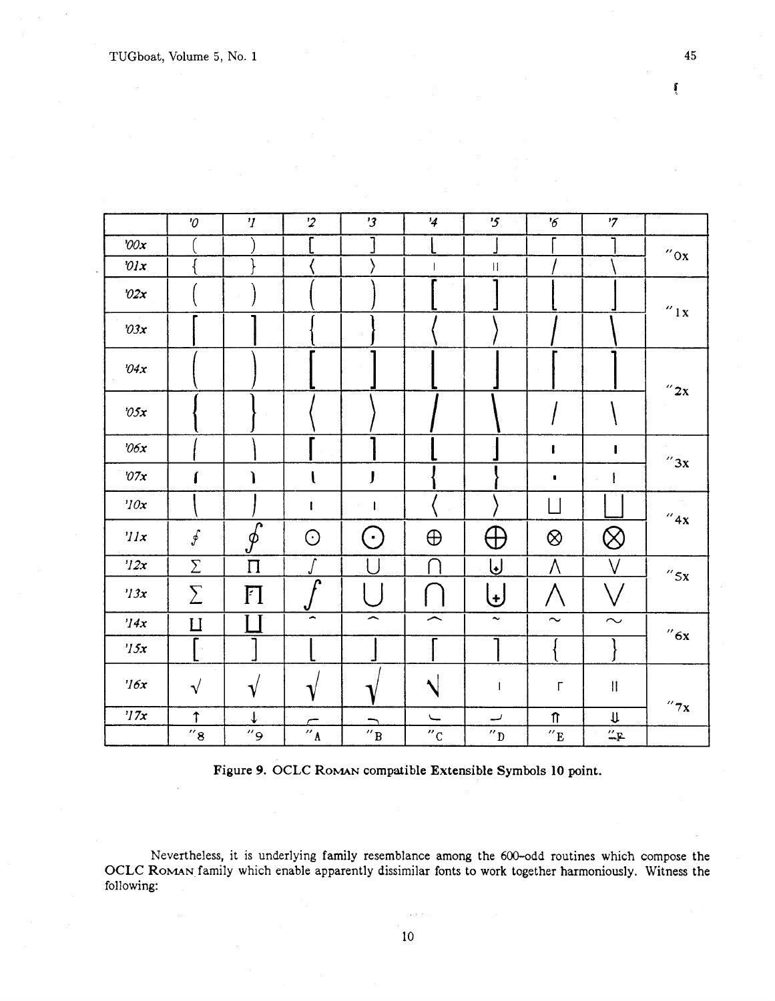|                                 | $\mathcal O$       | $\eta$             | $\overline{2}$                 | '3                       | $\frac{1}{4}$            | $\mathfrak{B}$            | $5^{\prime}$                               | $\mathbf{z}$                                                                                               |                       |
|---------------------------------|--------------------|--------------------|--------------------------------|--------------------------|--------------------------|---------------------------|--------------------------------------------|------------------------------------------------------------------------------------------------------------|-----------------------|
| 200x                            |                    |                    |                                |                          |                          |                           |                                            |                                                                                                            | $^{\prime\prime}$ ox  |
| $\partial x$                    |                    |                    |                                |                          |                          | $\mathop{\rm H}\nolimits$ |                                            |                                                                                                            |                       |
| ' $02x$                         |                    |                    |                                |                          |                          |                           |                                            |                                                                                                            | $^{\prime\prime}$ l x |
| 0.3x                            |                    |                    |                                |                          |                          |                           |                                            |                                                                                                            |                       |
| $\partial 4x$                   |                    |                    |                                |                          |                          |                           | $\sim$                                     |                                                                                                            | $^{\prime\prime}$ 2x  |
| $\partial \mathfrak{H} {\bf x}$ |                    |                    |                                |                          |                          |                           |                                            |                                                                                                            |                       |
| $\partial 6x$                   |                    |                    |                                |                          |                          |                           | ı                                          | L                                                                                                          | $^{\prime\prime}$ 3x  |
| $\partial\mathcal I x$          |                    |                    | $\mathbf{I}$                   | J                        |                          |                           | $\blacksquare$                             |                                                                                                            |                       |
| ' $10x$                         |                    |                    | ł                              | ł                        |                          |                           |                                            |                                                                                                            | $^{\prime\prime}$ 4x  |
| 'llx                            | $\oint$            | $\overline{\oint}$ | $\odot$                        | $(\cdot)$                | $\bigoplus$              | $\bigoplus$               | $\otimes$                                  | $\otimes$                                                                                                  |                       |
| '12x                            | $\sum$             | $\prod$            |                                |                          |                          | IJ                        | Λ                                          | $\vee$                                                                                                     | $^{\prime\prime}$ 5x  |
| $^{\prime}$ /3x                 | $\sum$             | FI                 | r                              |                          |                          | $\bigcup$                 |                                            |                                                                                                            |                       |
| '14x                            | $\mathbf{L}$       |                    | $\overline{\phantom{a}}$       | $\overline{\phantom{1}}$ | $\overline{\phantom{1}}$ | $\tilde{\phantom{a}}$     | $\sim$                                     | $\sim$                                                                                                     | $^{\prime\prime}$ 6x  |
| $\eta_{5x}$                     |                    |                    |                                |                          |                          |                           |                                            |                                                                                                            |                       |
| $\frac{7}{6}$                   | $\sqrt{}$          | $\mathbf{\hat{V}}$ |                                |                          |                          |                           | $\Gamma$                                   | $\begin{array}{c} \hline \end{array}$                                                                      |                       |
| 77x                             | $\uparrow$         | ↓                  |                                |                          | $\overline{\phantom{0}}$ | پ                         | $\boldsymbol{\textcolor{red}{\textbf{T}}}$ | $\mathsf{U}% _{T}=\mathsf{U}_{T}\!\left( a,b\right) ,\ \mathsf{U}_{T}=\mathsf{U}_{T}\!\left( a,b\right) ,$ | $^{\prime\prime}$ 7 x |
|                                 | $^{\prime\prime}8$ | و"                 | $\overline{''}$ $\overline{A}$ | $^{\prime\prime}$ B      | $^{\prime\prime}$ C      | $^{\prime\prime}$ D       | $^{\prime\prime}$ E                        | $\frac{\partial \mathbf{r}}{\partial \mathbf{r}}$                                                          |                       |

Figure 9. OCLC ROMAN compatible Extensible **Symbols** 10 point.

Nevertheless, it is underlying family resemblance among the 600-odd routines which compose the OCLC ROMAN family which enable apparently dissimilar fonts to work together harmoniously. Witness the following:

Í

45

 $10$ 

 $\zeta$  ,  $\zeta$  ,  $\zeta$